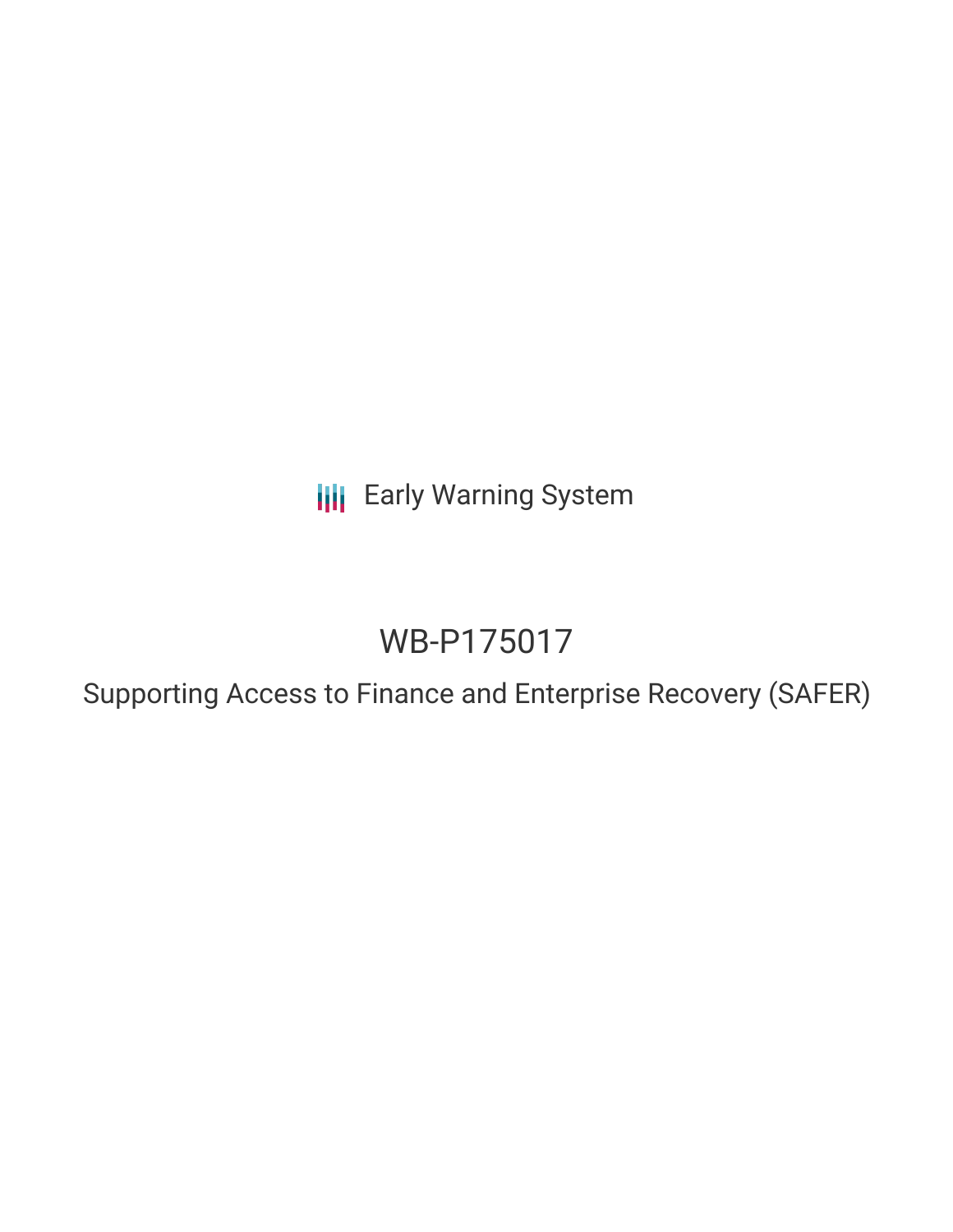**III** Early Warning System

# WB-P175017

Supporting Access to Finance and Enterprise Recovery (SAFER)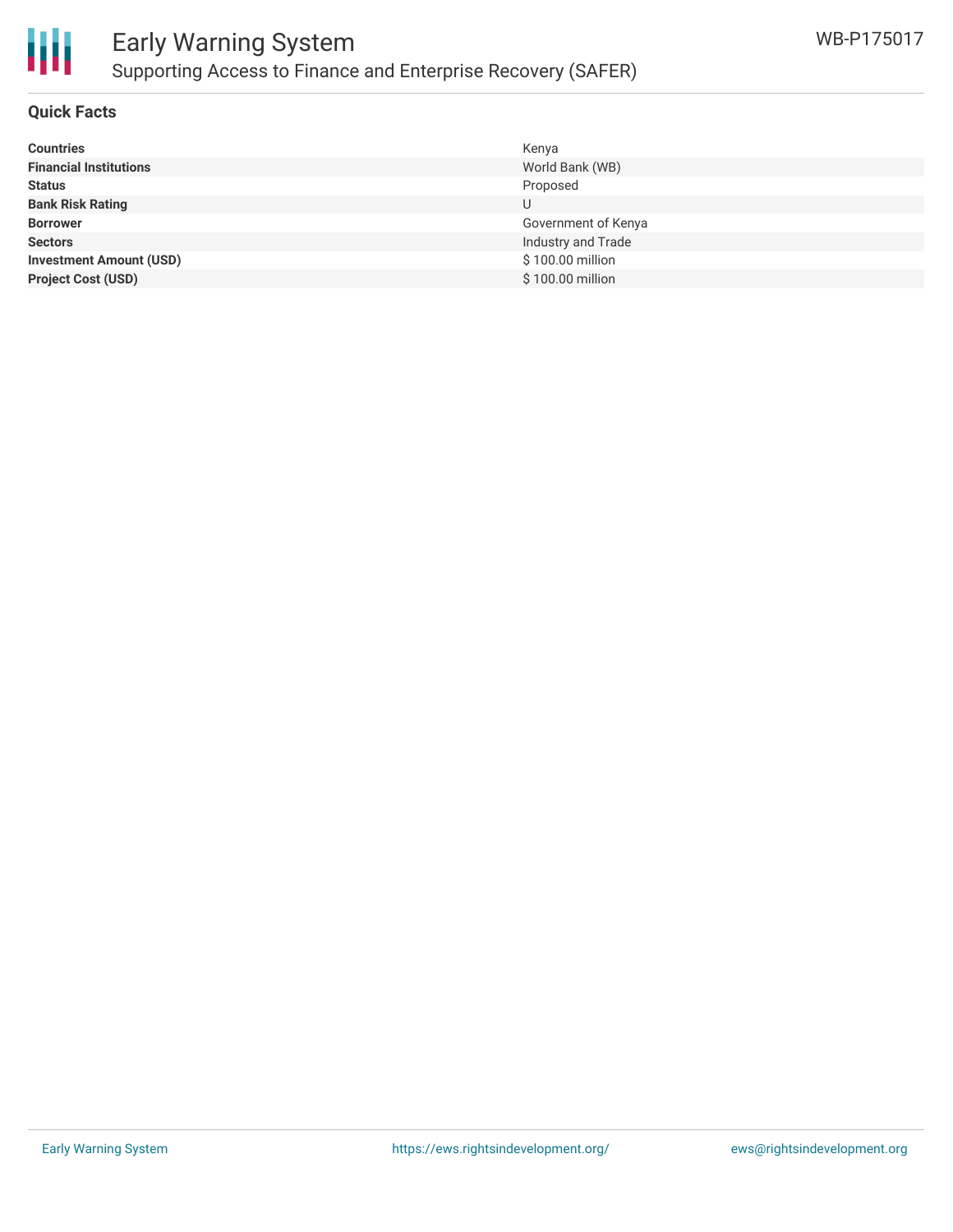

# Early Warning System Supporting Access to Finance and Enterprise Recovery (SAFER)

#### **Quick Facts**

| <b>Countries</b>               | Kenya               |
|--------------------------------|---------------------|
| <b>Financial Institutions</b>  | World Bank (WB)     |
| <b>Status</b>                  | Proposed            |
| <b>Bank Risk Rating</b>        | U                   |
| <b>Borrower</b>                | Government of Kenya |
| <b>Sectors</b>                 | Industry and Trade  |
| <b>Investment Amount (USD)</b> | \$100.00 million    |
| <b>Project Cost (USD)</b>      | \$100.00 million    |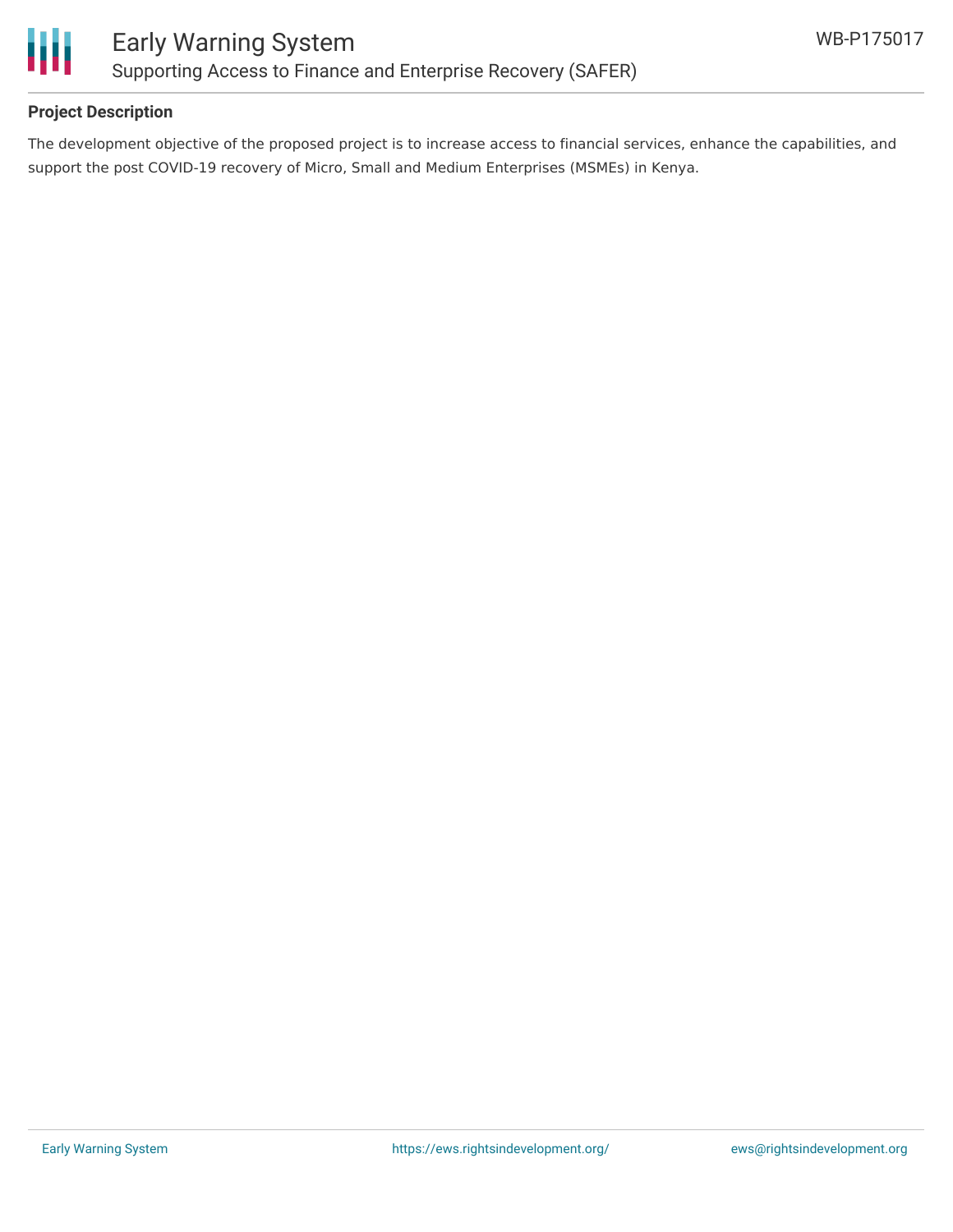

### **Project Description**

The development objective of the proposed project is to increase access to financial services, enhance the capabilities, and support the post COVID-19 recovery of Micro, Small and Medium Enterprises (MSMEs) in Kenya.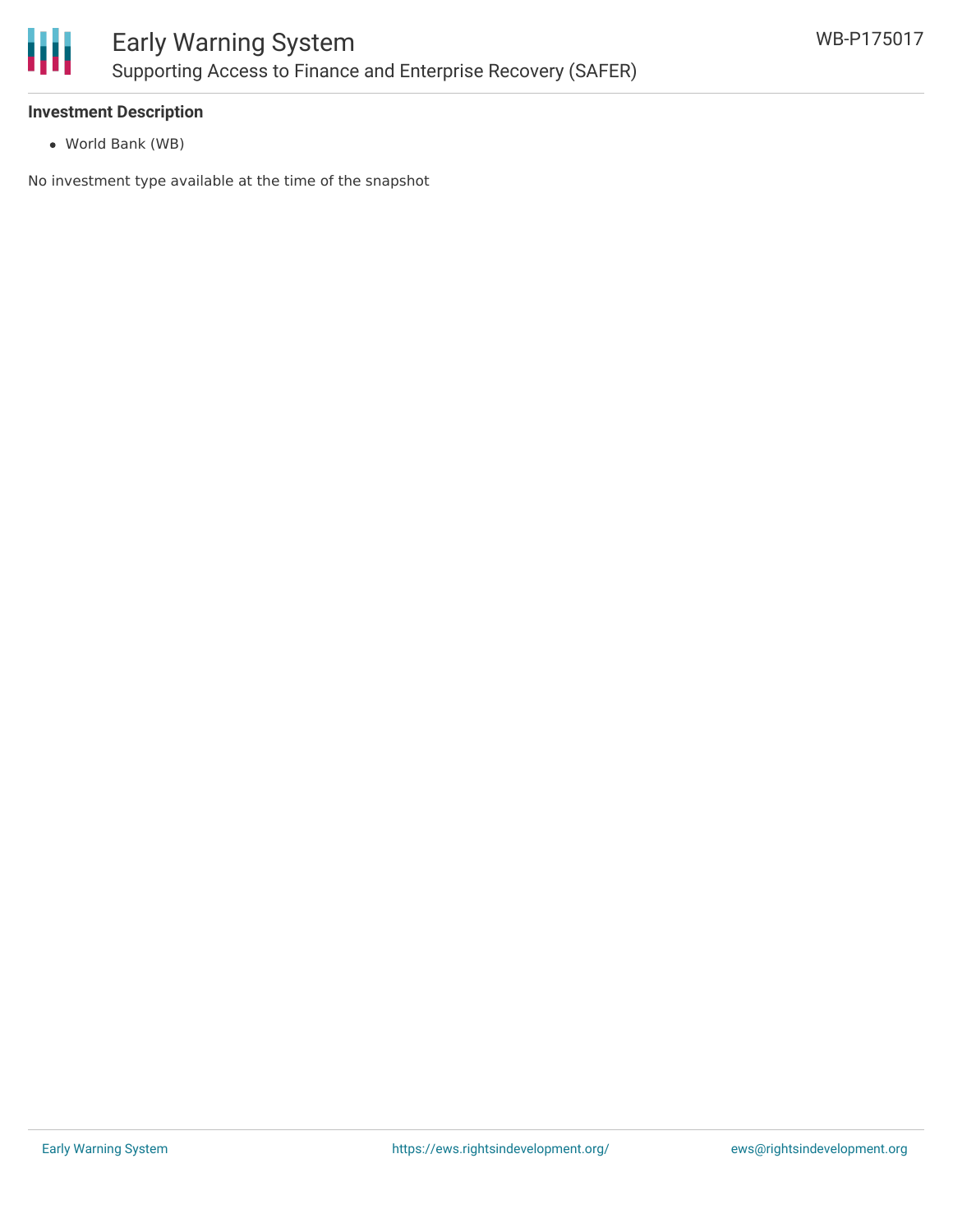

#### **Investment Description**

World Bank (WB)

No investment type available at the time of the snapshot